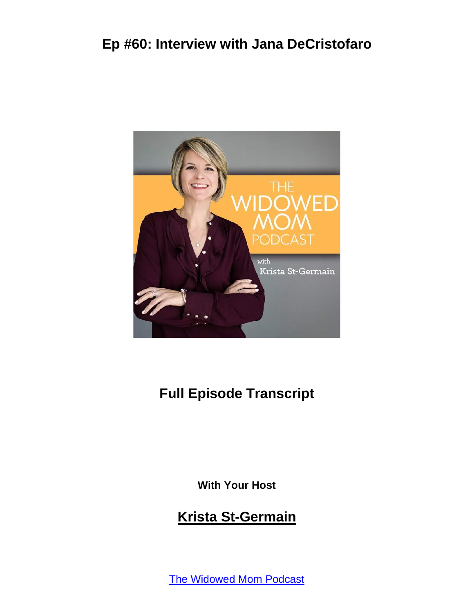

## **Full Episode Transcript**

**With Your Host**

#### **Krista St-Germain**

The [Widowed](https://coachingwithkrista.com/podcast) Mom Podcast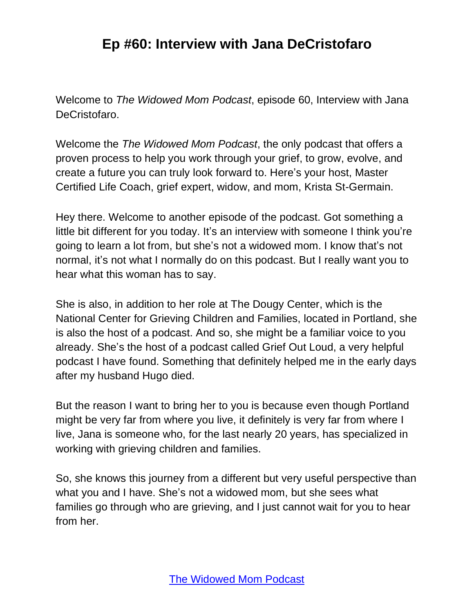Welcome to *The Widowed Mom Podcast*, episode 60, Interview with Jana DeCristofaro.

Welcome the *The Widowed Mom Podcast*, the only podcast that offers a proven process to help you work through your grief, to grow, evolve, and create a future you can truly look forward to. Here's your host, Master Certified Life Coach, grief expert, widow, and mom, Krista St-Germain.

Hey there. Welcome to another episode of the podcast. Got something a little bit different for you today. It's an interview with someone I think you're going to learn a lot from, but she's not a widowed mom. I know that's not normal, it's not what I normally do on this podcast. But I really want you to hear what this woman has to say.

She is also, in addition to her role at The Dougy Center, which is the National Center for Grieving Children and Families, located in Portland, she is also the host of a podcast. And so, she might be a familiar voice to you already. She's the host of a podcast called Grief Out Loud, a very helpful podcast I have found. Something that definitely helped me in the early days after my husband Hugo died.

But the reason I want to bring her to you is because even though Portland might be very far from where you live, it definitely is very far from where I live, Jana is someone who, for the last nearly 20 years, has specialized in working with grieving children and families.

So, she knows this journey from a different but very useful perspective than what you and I have. She's not a widowed mom, but she sees what families go through who are grieving, and I just cannot wait for you to hear from her.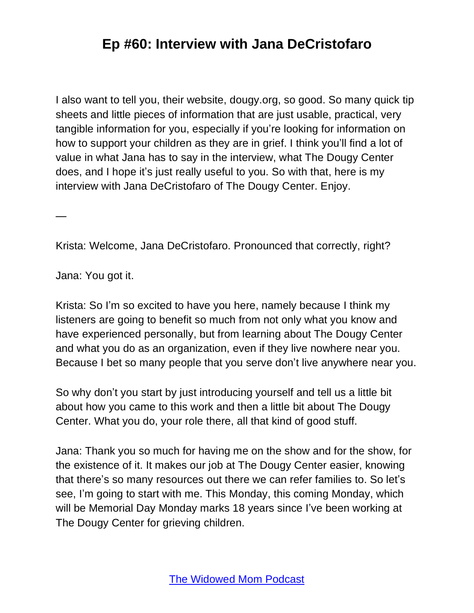I also want to tell you, their website, dougy.org, so good. So many quick tip sheets and little pieces of information that are just usable, practical, very tangible information for you, especially if you're looking for information on how to support your children as they are in grief. I think you'll find a lot of value in what Jana has to say in the interview, what The Dougy Center does, and I hope it's just really useful to you. So with that, here is my interview with Jana DeCristofaro of The Dougy Center. Enjoy.

Krista: Welcome, Jana DeCristofaro. Pronounced that correctly, right?

Jana: You got it.

—

Krista: So I'm so excited to have you here, namely because I think my listeners are going to benefit so much from not only what you know and have experienced personally, but from learning about The Dougy Center and what you do as an organization, even if they live nowhere near you. Because I bet so many people that you serve don't live anywhere near you.

So why don't you start by just introducing yourself and tell us a little bit about how you came to this work and then a little bit about The Dougy Center. What you do, your role there, all that kind of good stuff.

Jana: Thank you so much for having me on the show and for the show, for the existence of it. It makes our job at The Dougy Center easier, knowing that there's so many resources out there we can refer families to. So let's see, I'm going to start with me. This Monday, this coming Monday, which will be Memorial Day Monday marks 18 years since I've been working at The Dougy Center for grieving children.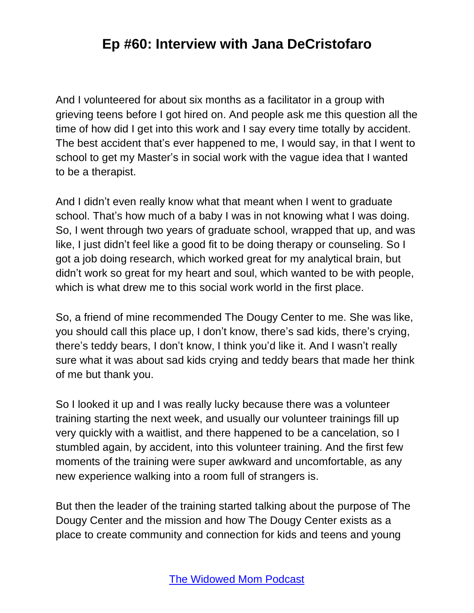And I volunteered for about six months as a facilitator in a group with grieving teens before I got hired on. And people ask me this question all the time of how did I get into this work and I say every time totally by accident. The best accident that's ever happened to me, I would say, in that I went to school to get my Master's in social work with the vague idea that I wanted to be a therapist.

And I didn't even really know what that meant when I went to graduate school. That's how much of a baby I was in not knowing what I was doing. So, I went through two years of graduate school, wrapped that up, and was like, I just didn't feel like a good fit to be doing therapy or counseling. So I got a job doing research, which worked great for my analytical brain, but didn't work so great for my heart and soul, which wanted to be with people, which is what drew me to this social work world in the first place.

So, a friend of mine recommended The Dougy Center to me. She was like, you should call this place up, I don't know, there's sad kids, there's crying, there's teddy bears, I don't know, I think you'd like it. And I wasn't really sure what it was about sad kids crying and teddy bears that made her think of me but thank you.

So I looked it up and I was really lucky because there was a volunteer training starting the next week, and usually our volunteer trainings fill up very quickly with a waitlist, and there happened to be a cancelation, so I stumbled again, by accident, into this volunteer training. And the first few moments of the training were super awkward and uncomfortable, as any new experience walking into a room full of strangers is.

But then the leader of the training started talking about the purpose of The Dougy Center and the mission and how The Dougy Center exists as a place to create community and connection for kids and teens and young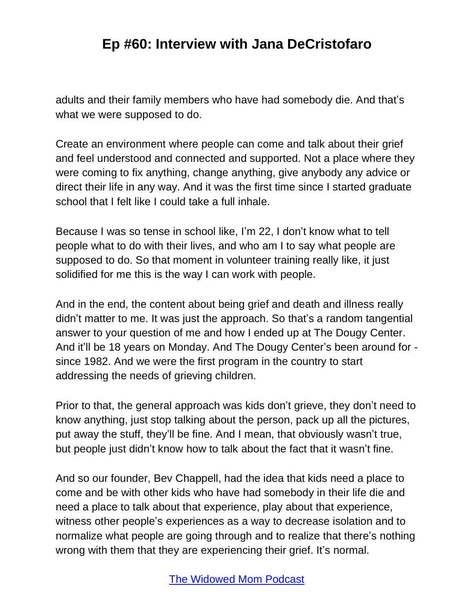adults and their family members who have had somebody die. And that's what we were supposed to do.

Create an environment where people can come and talk about their grief and feel understood and connected and supported. Not a place where they were coming to fix anything, change anything, give anybody any advice or direct their life in any way. And it was the first time since I started graduate school that I felt like I could take a full inhale.

Because I was so tense in school like, I'm 22, I don't know what to tell people what to do with their lives, and who am I to say what people are supposed to do. So that moment in volunteer training really like, it just solidified for me this is the way I can work with people.

And in the end, the content about being grief and death and illness really didn't matter to me. It was just the approach. So that's a random tangential answer to your question of me and how I ended up at The Dougy Center. And it'll be 18 years on Monday. And The Dougy Center's been around for since 1982. And we were the first program in the country to start addressing the needs of grieving children.

Prior to that, the general approach was kids don't grieve, they don't need to know anything, just stop talking about the person, pack up all the pictures, put away the stuff, they'll be fine. And I mean, that obviously wasn't true, but people just didn't know how to talk about the fact that it wasn't fine.

And so our founder, Bev Chappell, had the idea that kids need a place to come and be with other kids who have had somebody in their life die and need a place to talk about that experience, play about that experience, witness other people's experiences as a way to decrease isolation and to normalize what people are going through and to realize that there's nothing wrong with them that they are experiencing their grief. It's normal.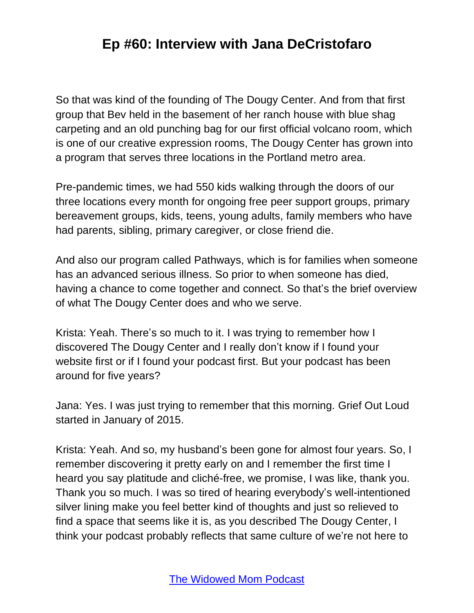So that was kind of the founding of The Dougy Center. And from that first group that Bev held in the basement of her ranch house with blue shag carpeting and an old punching bag for our first official volcano room, which is one of our creative expression rooms, The Dougy Center has grown into a program that serves three locations in the Portland metro area.

Pre-pandemic times, we had 550 kids walking through the doors of our three locations every month for ongoing free peer support groups, primary bereavement groups, kids, teens, young adults, family members who have had parents, sibling, primary caregiver, or close friend die.

And also our program called Pathways, which is for families when someone has an advanced serious illness. So prior to when someone has died, having a chance to come together and connect. So that's the brief overview of what The Dougy Center does and who we serve.

Krista: Yeah. There's so much to it. I was trying to remember how I discovered The Dougy Center and I really don't know if I found your website first or if I found your podcast first. But your podcast has been around for five years?

Jana: Yes. I was just trying to remember that this morning. Grief Out Loud started in January of 2015.

Krista: Yeah. And so, my husband's been gone for almost four years. So, I remember discovering it pretty early on and I remember the first time I heard you say platitude and cliché-free, we promise, I was like, thank you. Thank you so much. I was so tired of hearing everybody's well-intentioned silver lining make you feel better kind of thoughts and just so relieved to find a space that seems like it is, as you described The Dougy Center, I think your podcast probably reflects that same culture of we're not here to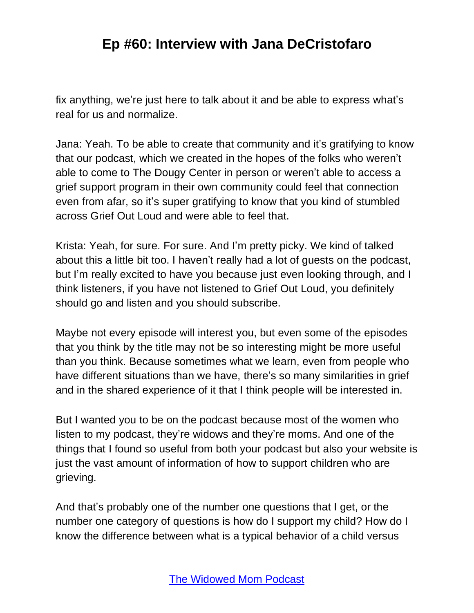fix anything, we're just here to talk about it and be able to express what's real for us and normalize.

Jana: Yeah. To be able to create that community and it's gratifying to know that our podcast, which we created in the hopes of the folks who weren't able to come to The Dougy Center in person or weren't able to access a grief support program in their own community could feel that connection even from afar, so it's super gratifying to know that you kind of stumbled across Grief Out Loud and were able to feel that.

Krista: Yeah, for sure. For sure. And I'm pretty picky. We kind of talked about this a little bit too. I haven't really had a lot of guests on the podcast, but I'm really excited to have you because just even looking through, and I think listeners, if you have not listened to Grief Out Loud, you definitely should go and listen and you should subscribe.

Maybe not every episode will interest you, but even some of the episodes that you think by the title may not be so interesting might be more useful than you think. Because sometimes what we learn, even from people who have different situations than we have, there's so many similarities in grief and in the shared experience of it that I think people will be interested in.

But I wanted you to be on the podcast because most of the women who listen to my podcast, they're widows and they're moms. And one of the things that I found so useful from both your podcast but also your website is just the vast amount of information of how to support children who are grieving.

And that's probably one of the number one questions that I get, or the number one category of questions is how do I support my child? How do I know the difference between what is a typical behavior of a child versus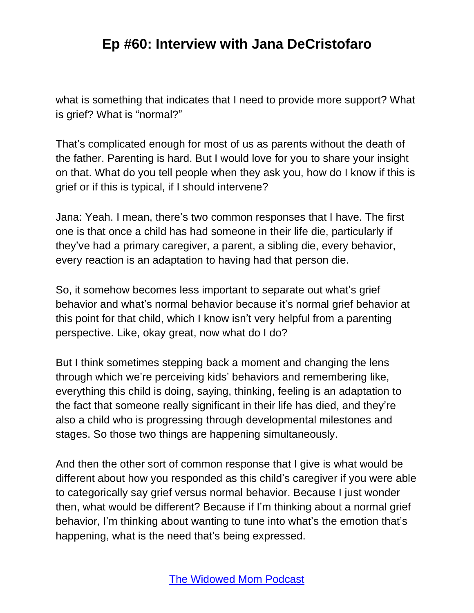what is something that indicates that I need to provide more support? What is grief? What is "normal?"

That's complicated enough for most of us as parents without the death of the father. Parenting is hard. But I would love for you to share your insight on that. What do you tell people when they ask you, how do I know if this is grief or if this is typical, if I should intervene?

Jana: Yeah. I mean, there's two common responses that I have. The first one is that once a child has had someone in their life die, particularly if they've had a primary caregiver, a parent, a sibling die, every behavior, every reaction is an adaptation to having had that person die.

So, it somehow becomes less important to separate out what's grief behavior and what's normal behavior because it's normal grief behavior at this point for that child, which I know isn't very helpful from a parenting perspective. Like, okay great, now what do I do?

But I think sometimes stepping back a moment and changing the lens through which we're perceiving kids' behaviors and remembering like, everything this child is doing, saying, thinking, feeling is an adaptation to the fact that someone really significant in their life has died, and they're also a child who is progressing through developmental milestones and stages. So those two things are happening simultaneously.

And then the other sort of common response that I give is what would be different about how you responded as this child's caregiver if you were able to categorically say grief versus normal behavior. Because I just wonder then, what would be different? Because if I'm thinking about a normal grief behavior, I'm thinking about wanting to tune into what's the emotion that's happening, what is the need that's being expressed.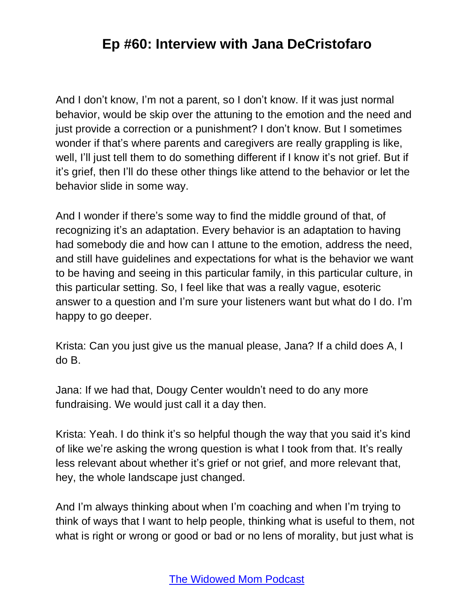And I don't know, I'm not a parent, so I don't know. If it was just normal behavior, would be skip over the attuning to the emotion and the need and just provide a correction or a punishment? I don't know. But I sometimes wonder if that's where parents and caregivers are really grappling is like, well, I'll just tell them to do something different if I know it's not grief. But if it's grief, then I'll do these other things like attend to the behavior or let the behavior slide in some way.

And I wonder if there's some way to find the middle ground of that, of recognizing it's an adaptation. Every behavior is an adaptation to having had somebody die and how can I attune to the emotion, address the need, and still have guidelines and expectations for what is the behavior we want to be having and seeing in this particular family, in this particular culture, in this particular setting. So, I feel like that was a really vague, esoteric answer to a question and I'm sure your listeners want but what do I do. I'm happy to go deeper.

Krista: Can you just give us the manual please, Jana? If a child does A, I do B.

Jana: If we had that, Dougy Center wouldn't need to do any more fundraising. We would just call it a day then.

Krista: Yeah. I do think it's so helpful though the way that you said it's kind of like we're asking the wrong question is what I took from that. It's really less relevant about whether it's grief or not grief, and more relevant that, hey, the whole landscape just changed.

And I'm always thinking about when I'm coaching and when I'm trying to think of ways that I want to help people, thinking what is useful to them, not what is right or wrong or good or bad or no lens of morality, but just what is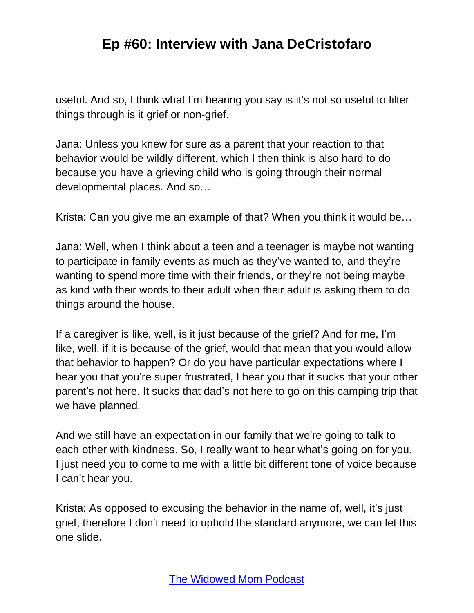useful. And so, I think what I'm hearing you say is it's not so useful to filter things through is it grief or non-grief.

Jana: Unless you knew for sure as a parent that your reaction to that behavior would be wildly different, which I then think is also hard to do because you have a grieving child who is going through their normal developmental places. And so…

Krista: Can you give me an example of that? When you think it would be…

Jana: Well, when I think about a teen and a teenager is maybe not wanting to participate in family events as much as they've wanted to, and they're wanting to spend more time with their friends, or they're not being maybe as kind with their words to their adult when their adult is asking them to do things around the house.

If a caregiver is like, well, is it just because of the grief? And for me, I'm like, well, if it is because of the grief, would that mean that you would allow that behavior to happen? Or do you have particular expectations where I hear you that you're super frustrated, I hear you that it sucks that your other parent's not here. It sucks that dad's not here to go on this camping trip that we have planned.

And we still have an expectation in our family that we're going to talk to each other with kindness. So, I really want to hear what's going on for you. I just need you to come to me with a little bit different tone of voice because I can't hear you.

Krista: As opposed to excusing the behavior in the name of, well, it's just grief, therefore I don't need to uphold the standard anymore, we can let this one slide.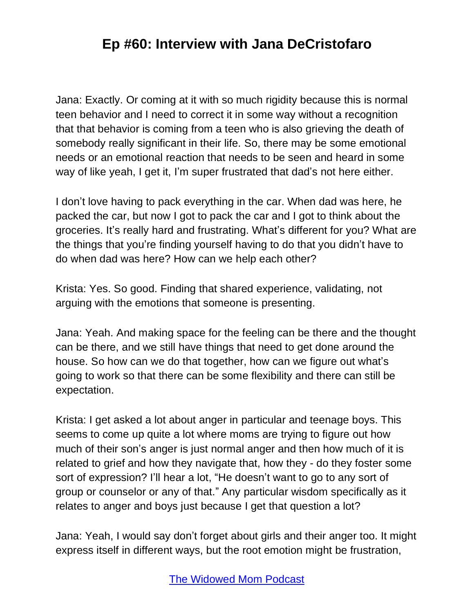Jana: Exactly. Or coming at it with so much rigidity because this is normal teen behavior and I need to correct it in some way without a recognition that that behavior is coming from a teen who is also grieving the death of somebody really significant in their life. So, there may be some emotional needs or an emotional reaction that needs to be seen and heard in some way of like yeah, I get it, I'm super frustrated that dad's not here either.

I don't love having to pack everything in the car. When dad was here, he packed the car, but now I got to pack the car and I got to think about the groceries. It's really hard and frustrating. What's different for you? What are the things that you're finding yourself having to do that you didn't have to do when dad was here? How can we help each other?

Krista: Yes. So good. Finding that shared experience, validating, not arguing with the emotions that someone is presenting.

Jana: Yeah. And making space for the feeling can be there and the thought can be there, and we still have things that need to get done around the house. So how can we do that together, how can we figure out what's going to work so that there can be some flexibility and there can still be expectation.

Krista: I get asked a lot about anger in particular and teenage boys. This seems to come up quite a lot where moms are trying to figure out how much of their son's anger is just normal anger and then how much of it is related to grief and how they navigate that, how they - do they foster some sort of expression? I'll hear a lot, "He doesn't want to go to any sort of group or counselor or any of that." Any particular wisdom specifically as it relates to anger and boys just because I get that question a lot?

Jana: Yeah, I would say don't forget about girls and their anger too. It might express itself in different ways, but the root emotion might be frustration,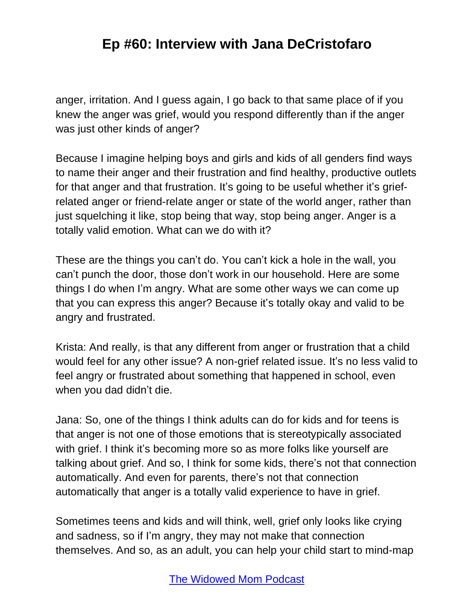anger, irritation. And I guess again, I go back to that same place of if you knew the anger was grief, would you respond differently than if the anger was just other kinds of anger?

Because I imagine helping boys and girls and kids of all genders find ways to name their anger and their frustration and find healthy, productive outlets for that anger and that frustration. It's going to be useful whether it's griefrelated anger or friend-relate anger or state of the world anger, rather than just squelching it like, stop being that way, stop being anger. Anger is a totally valid emotion. What can we do with it?

These are the things you can't do. You can't kick a hole in the wall, you can't punch the door, those don't work in our household. Here are some things I do when I'm angry. What are some other ways we can come up that you can express this anger? Because it's totally okay and valid to be angry and frustrated.

Krista: And really, is that any different from anger or frustration that a child would feel for any other issue? A non-grief related issue. It's no less valid to feel angry or frustrated about something that happened in school, even when you dad didn't die.

Jana: So, one of the things I think adults can do for kids and for teens is that anger is not one of those emotions that is stereotypically associated with grief. I think it's becoming more so as more folks like yourself are talking about grief. And so, I think for some kids, there's not that connection automatically. And even for parents, there's not that connection automatically that anger is a totally valid experience to have in grief.

Sometimes teens and kids and will think, well, grief only looks like crying and sadness, so if I'm angry, they may not make that connection themselves. And so, as an adult, you can help your child start to mind-map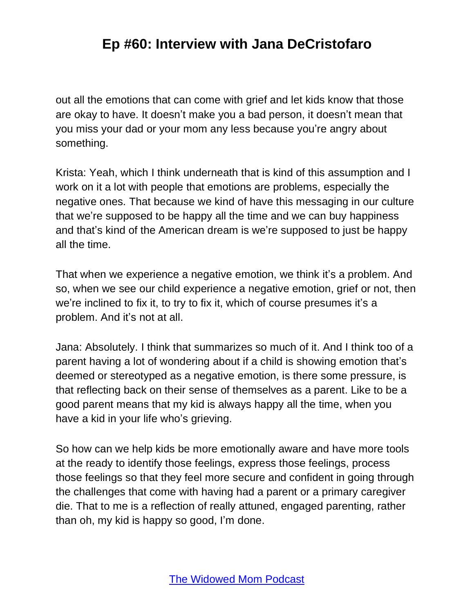out all the emotions that can come with grief and let kids know that those are okay to have. It doesn't make you a bad person, it doesn't mean that you miss your dad or your mom any less because you're angry about something.

Krista: Yeah, which I think underneath that is kind of this assumption and I work on it a lot with people that emotions are problems, especially the negative ones. That because we kind of have this messaging in our culture that we're supposed to be happy all the time and we can buy happiness and that's kind of the American dream is we're supposed to just be happy all the time.

That when we experience a negative emotion, we think it's a problem. And so, when we see our child experience a negative emotion, grief or not, then we're inclined to fix it, to try to fix it, which of course presumes it's a problem. And it's not at all.

Jana: Absolutely. I think that summarizes so much of it. And I think too of a parent having a lot of wondering about if a child is showing emotion that's deemed or stereotyped as a negative emotion, is there some pressure, is that reflecting back on their sense of themselves as a parent. Like to be a good parent means that my kid is always happy all the time, when you have a kid in your life who's grieving.

So how can we help kids be more emotionally aware and have more tools at the ready to identify those feelings, express those feelings, process those feelings so that they feel more secure and confident in going through the challenges that come with having had a parent or a primary caregiver die. That to me is a reflection of really attuned, engaged parenting, rather than oh, my kid is happy so good, I'm done.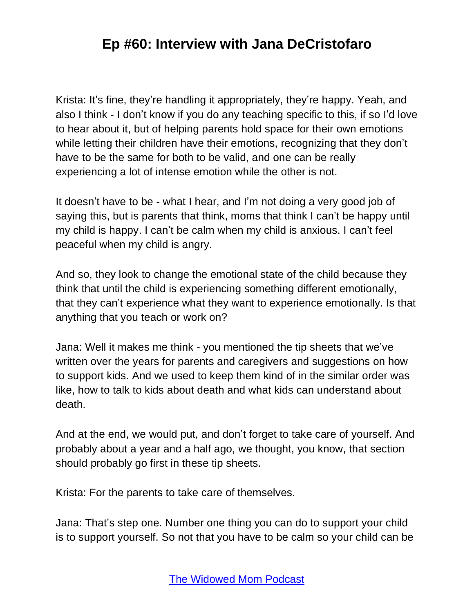Krista: It's fine, they're handling it appropriately, they're happy. Yeah, and also I think - I don't know if you do any teaching specific to this, if so I'd love to hear about it, but of helping parents hold space for their own emotions while letting their children have their emotions, recognizing that they don't have to be the same for both to be valid, and one can be really experiencing a lot of intense emotion while the other is not.

It doesn't have to be - what I hear, and I'm not doing a very good job of saying this, but is parents that think, moms that think I can't be happy until my child is happy. I can't be calm when my child is anxious. I can't feel peaceful when my child is angry.

And so, they look to change the emotional state of the child because they think that until the child is experiencing something different emotionally, that they can't experience what they want to experience emotionally. Is that anything that you teach or work on?

Jana: Well it makes me think - you mentioned the tip sheets that we've written over the years for parents and caregivers and suggestions on how to support kids. And we used to keep them kind of in the similar order was like, how to talk to kids about death and what kids can understand about death.

And at the end, we would put, and don't forget to take care of yourself. And probably about a year and a half ago, we thought, you know, that section should probably go first in these tip sheets.

Krista: For the parents to take care of themselves.

Jana: That's step one. Number one thing you can do to support your child is to support yourself. So not that you have to be calm so your child can be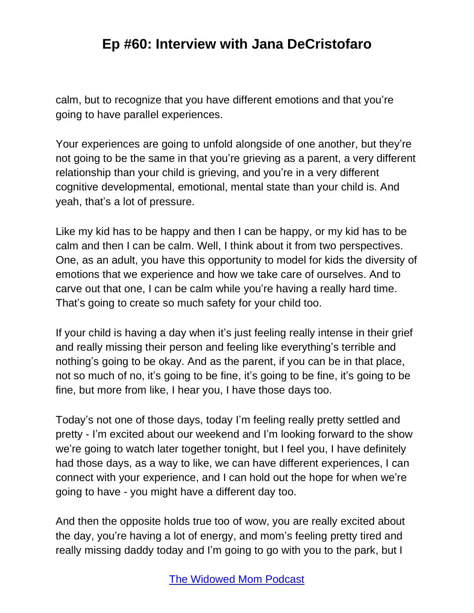calm, but to recognize that you have different emotions and that you're going to have parallel experiences.

Your experiences are going to unfold alongside of one another, but they're not going to be the same in that you're grieving as a parent, a very different relationship than your child is grieving, and you're in a very different cognitive developmental, emotional, mental state than your child is. And yeah, that's a lot of pressure.

Like my kid has to be happy and then I can be happy, or my kid has to be calm and then I can be calm. Well, I think about it from two perspectives. One, as an adult, you have this opportunity to model for kids the diversity of emotions that we experience and how we take care of ourselves. And to carve out that one, I can be calm while you're having a really hard time. That's going to create so much safety for your child too.

If your child is having a day when it's just feeling really intense in their grief and really missing their person and feeling like everything's terrible and nothing's going to be okay. And as the parent, if you can be in that place, not so much of no, it's going to be fine, it's going to be fine, it's going to be fine, but more from like, I hear you, I have those days too.

Today's not one of those days, today I'm feeling really pretty settled and pretty - I'm excited about our weekend and I'm looking forward to the show we're going to watch later together tonight, but I feel you, I have definitely had those days, as a way to like, we can have different experiences, I can connect with your experience, and I can hold out the hope for when we're going to have - you might have a different day too.

And then the opposite holds true too of wow, you are really excited about the day, you're having a lot of energy, and mom's feeling pretty tired and really missing daddy today and I'm going to go with you to the park, but I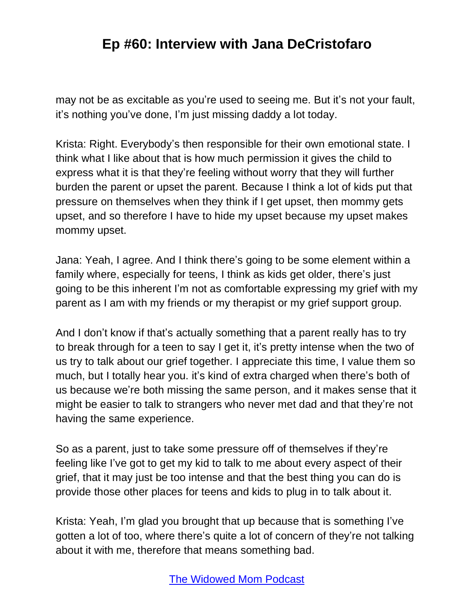may not be as excitable as you're used to seeing me. But it's not your fault, it's nothing you've done, I'm just missing daddy a lot today.

Krista: Right. Everybody's then responsible for their own emotional state. I think what I like about that is how much permission it gives the child to express what it is that they're feeling without worry that they will further burden the parent or upset the parent. Because I think a lot of kids put that pressure on themselves when they think if I get upset, then mommy gets upset, and so therefore I have to hide my upset because my upset makes mommy upset.

Jana: Yeah, I agree. And I think there's going to be some element within a family where, especially for teens, I think as kids get older, there's just going to be this inherent I'm not as comfortable expressing my grief with my parent as I am with my friends or my therapist or my grief support group.

And I don't know if that's actually something that a parent really has to try to break through for a teen to say I get it, it's pretty intense when the two of us try to talk about our grief together. I appreciate this time, I value them so much, but I totally hear you. it's kind of extra charged when there's both of us because we're both missing the same person, and it makes sense that it might be easier to talk to strangers who never met dad and that they're not having the same experience.

So as a parent, just to take some pressure off of themselves if they're feeling like I've got to get my kid to talk to me about every aspect of their grief, that it may just be too intense and that the best thing you can do is provide those other places for teens and kids to plug in to talk about it.

Krista: Yeah, I'm glad you brought that up because that is something I've gotten a lot of too, where there's quite a lot of concern of they're not talking about it with me, therefore that means something bad.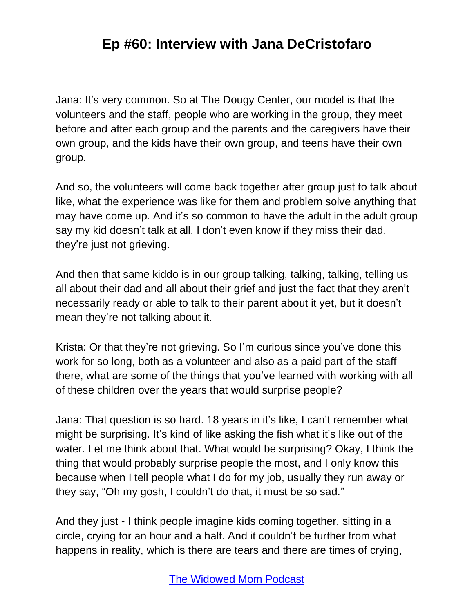Jana: It's very common. So at The Dougy Center, our model is that the volunteers and the staff, people who are working in the group, they meet before and after each group and the parents and the caregivers have their own group, and the kids have their own group, and teens have their own group.

And so, the volunteers will come back together after group just to talk about like, what the experience was like for them and problem solve anything that may have come up. And it's so common to have the adult in the adult group say my kid doesn't talk at all, I don't even know if they miss their dad, they're just not grieving.

And then that same kiddo is in our group talking, talking, talking, telling us all about their dad and all about their grief and just the fact that they aren't necessarily ready or able to talk to their parent about it yet, but it doesn't mean they're not talking about it.

Krista: Or that they're not grieving. So I'm curious since you've done this work for so long, both as a volunteer and also as a paid part of the staff there, what are some of the things that you've learned with working with all of these children over the years that would surprise people?

Jana: That question is so hard. 18 years in it's like, I can't remember what might be surprising. It's kind of like asking the fish what it's like out of the water. Let me think about that. What would be surprising? Okay, I think the thing that would probably surprise people the most, and I only know this because when I tell people what I do for my job, usually they run away or they say, "Oh my gosh, I couldn't do that, it must be so sad."

And they just - I think people imagine kids coming together, sitting in a circle, crying for an hour and a half. And it couldn't be further from what happens in reality, which is there are tears and there are times of crying,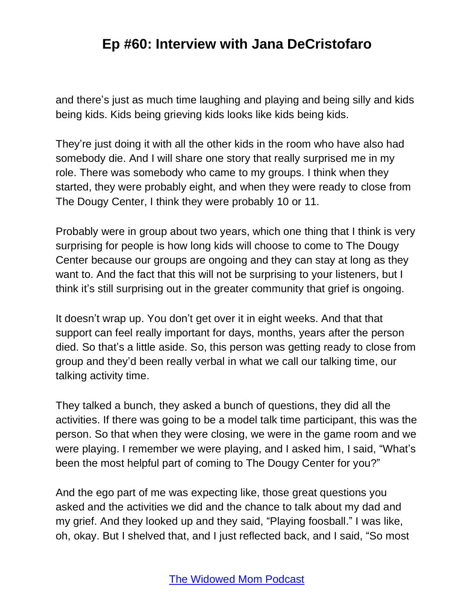and there's just as much time laughing and playing and being silly and kids being kids. Kids being grieving kids looks like kids being kids.

They're just doing it with all the other kids in the room who have also had somebody die. And I will share one story that really surprised me in my role. There was somebody who came to my groups. I think when they started, they were probably eight, and when they were ready to close from The Dougy Center, I think they were probably 10 or 11.

Probably were in group about two years, which one thing that I think is very surprising for people is how long kids will choose to come to The Dougy Center because our groups are ongoing and they can stay at long as they want to. And the fact that this will not be surprising to your listeners, but I think it's still surprising out in the greater community that grief is ongoing.

It doesn't wrap up. You don't get over it in eight weeks. And that that support can feel really important for days, months, years after the person died. So that's a little aside. So, this person was getting ready to close from group and they'd been really verbal in what we call our talking time, our talking activity time.

They talked a bunch, they asked a bunch of questions, they did all the activities. If there was going to be a model talk time participant, this was the person. So that when they were closing, we were in the game room and we were playing. I remember we were playing, and I asked him, I said, "What's been the most helpful part of coming to The Dougy Center for you?"

And the ego part of me was expecting like, those great questions you asked and the activities we did and the chance to talk about my dad and my grief. And they looked up and they said, "Playing foosball." I was like, oh, okay. But I shelved that, and I just reflected back, and I said, "So most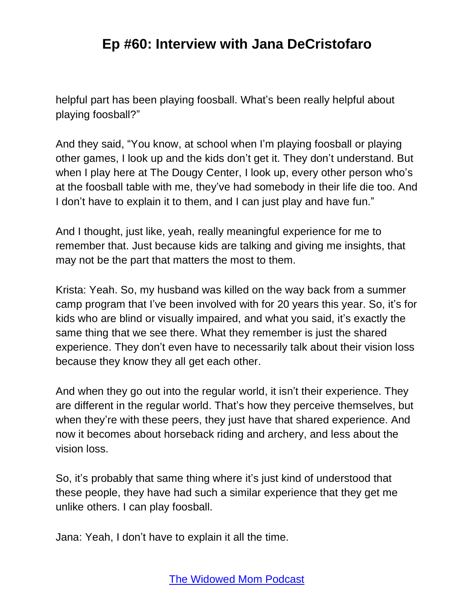helpful part has been playing foosball. What's been really helpful about playing foosball?"

And they said, "You know, at school when I'm playing foosball or playing other games, I look up and the kids don't get it. They don't understand. But when I play here at The Dougy Center, I look up, every other person who's at the foosball table with me, they've had somebody in their life die too. And I don't have to explain it to them, and I can just play and have fun."

And I thought, just like, yeah, really meaningful experience for me to remember that. Just because kids are talking and giving me insights, that may not be the part that matters the most to them.

Krista: Yeah. So, my husband was killed on the way back from a summer camp program that I've been involved with for 20 years this year. So, it's for kids who are blind or visually impaired, and what you said, it's exactly the same thing that we see there. What they remember is just the shared experience. They don't even have to necessarily talk about their vision loss because they know they all get each other.

And when they go out into the regular world, it isn't their experience. They are different in the regular world. That's how they perceive themselves, but when they're with these peers, they just have that shared experience. And now it becomes about horseback riding and archery, and less about the vision loss.

So, it's probably that same thing where it's just kind of understood that these people, they have had such a similar experience that they get me unlike others. I can play foosball.

Jana: Yeah, I don't have to explain it all the time.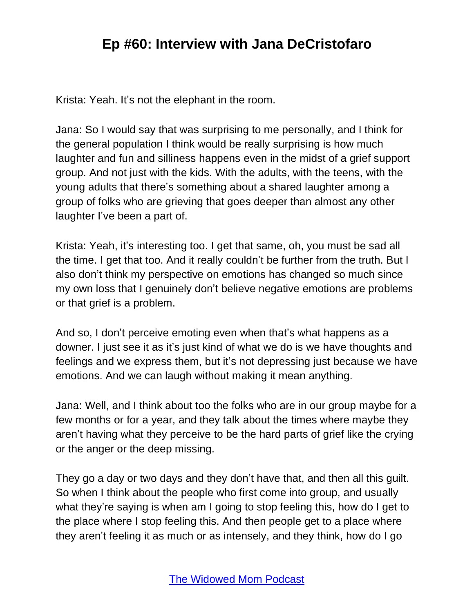Krista: Yeah. It's not the elephant in the room.

Jana: So I would say that was surprising to me personally, and I think for the general population I think would be really surprising is how much laughter and fun and silliness happens even in the midst of a grief support group. And not just with the kids. With the adults, with the teens, with the young adults that there's something about a shared laughter among a group of folks who are grieving that goes deeper than almost any other laughter I've been a part of.

Krista: Yeah, it's interesting too. I get that same, oh, you must be sad all the time. I get that too. And it really couldn't be further from the truth. But I also don't think my perspective on emotions has changed so much since my own loss that I genuinely don't believe negative emotions are problems or that grief is a problem.

And so, I don't perceive emoting even when that's what happens as a downer. I just see it as it's just kind of what we do is we have thoughts and feelings and we express them, but it's not depressing just because we have emotions. And we can laugh without making it mean anything.

Jana: Well, and I think about too the folks who are in our group maybe for a few months or for a year, and they talk about the times where maybe they aren't having what they perceive to be the hard parts of grief like the crying or the anger or the deep missing.

They go a day or two days and they don't have that, and then all this guilt. So when I think about the people who first come into group, and usually what they're saying is when am I going to stop feeling this, how do I get to the place where I stop feeling this. And then people get to a place where they aren't feeling it as much or as intensely, and they think, how do I go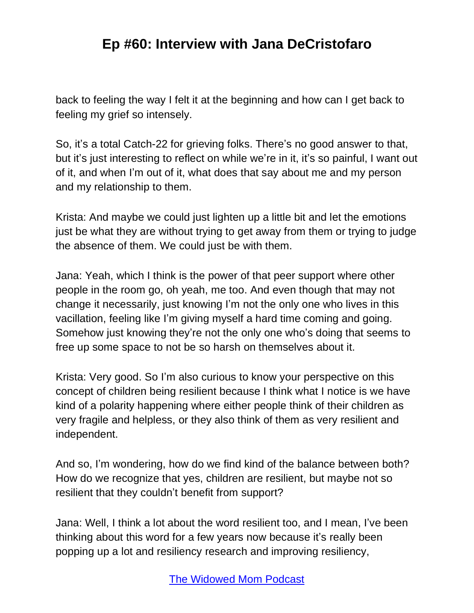back to feeling the way I felt it at the beginning and how can I get back to feeling my grief so intensely.

So, it's a total Catch-22 for grieving folks. There's no good answer to that, but it's just interesting to reflect on while we're in it, it's so painful, I want out of it, and when I'm out of it, what does that say about me and my person and my relationship to them.

Krista: And maybe we could just lighten up a little bit and let the emotions just be what they are without trying to get away from them or trying to judge the absence of them. We could just be with them.

Jana: Yeah, which I think is the power of that peer support where other people in the room go, oh yeah, me too. And even though that may not change it necessarily, just knowing I'm not the only one who lives in this vacillation, feeling like I'm giving myself a hard time coming and going. Somehow just knowing they're not the only one who's doing that seems to free up some space to not be so harsh on themselves about it.

Krista: Very good. So I'm also curious to know your perspective on this concept of children being resilient because I think what I notice is we have kind of a polarity happening where either people think of their children as very fragile and helpless, or they also think of them as very resilient and independent.

And so, I'm wondering, how do we find kind of the balance between both? How do we recognize that yes, children are resilient, but maybe not so resilient that they couldn't benefit from support?

Jana: Well, I think a lot about the word resilient too, and I mean, I've been thinking about this word for a few years now because it's really been popping up a lot and resiliency research and improving resiliency,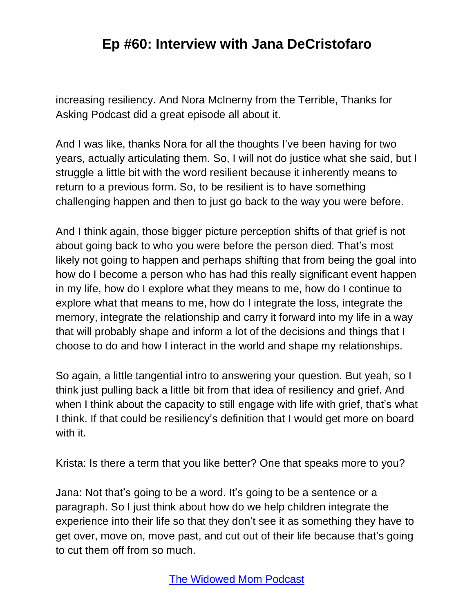increasing resiliency. And Nora McInerny from the Terrible, Thanks for Asking Podcast did a great episode all about it.

And I was like, thanks Nora for all the thoughts I've been having for two years, actually articulating them. So, I will not do justice what she said, but I struggle a little bit with the word resilient because it inherently means to return to a previous form. So, to be resilient is to have something challenging happen and then to just go back to the way you were before.

And I think again, those bigger picture perception shifts of that grief is not about going back to who you were before the person died. That's most likely not going to happen and perhaps shifting that from being the goal into how do I become a person who has had this really significant event happen in my life, how do I explore what they means to me, how do I continue to explore what that means to me, how do I integrate the loss, integrate the memory, integrate the relationship and carry it forward into my life in a way that will probably shape and inform a lot of the decisions and things that I choose to do and how I interact in the world and shape my relationships.

So again, a little tangential intro to answering your question. But yeah, so I think just pulling back a little bit from that idea of resiliency and grief. And when I think about the capacity to still engage with life with grief, that's what I think. If that could be resiliency's definition that I would get more on board with it.

Krista: Is there a term that you like better? One that speaks more to you?

Jana: Not that's going to be a word. It's going to be a sentence or a paragraph. So I just think about how do we help children integrate the experience into their life so that they don't see it as something they have to get over, move on, move past, and cut out of their life because that's going to cut them off from so much.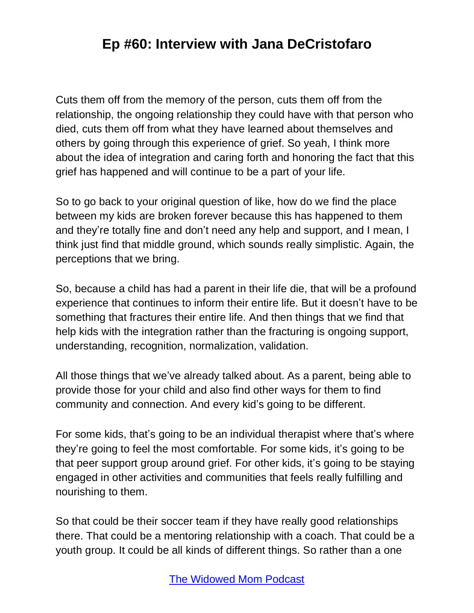Cuts them off from the memory of the person, cuts them off from the relationship, the ongoing relationship they could have with that person who died, cuts them off from what they have learned about themselves and others by going through this experience of grief. So yeah, I think more about the idea of integration and caring forth and honoring the fact that this grief has happened and will continue to be a part of your life.

So to go back to your original question of like, how do we find the place between my kids are broken forever because this has happened to them and they're totally fine and don't need any help and support, and I mean, I think just find that middle ground, which sounds really simplistic. Again, the perceptions that we bring.

So, because a child has had a parent in their life die, that will be a profound experience that continues to inform their entire life. But it doesn't have to be something that fractures their entire life. And then things that we find that help kids with the integration rather than the fracturing is ongoing support, understanding, recognition, normalization, validation.

All those things that we've already talked about. As a parent, being able to provide those for your child and also find other ways for them to find community and connection. And every kid's going to be different.

For some kids, that's going to be an individual therapist where that's where they're going to feel the most comfortable. For some kids, it's going to be that peer support group around grief. For other kids, it's going to be staying engaged in other activities and communities that feels really fulfilling and nourishing to them.

So that could be their soccer team if they have really good relationships there. That could be a mentoring relationship with a coach. That could be a youth group. It could be all kinds of different things. So rather than a one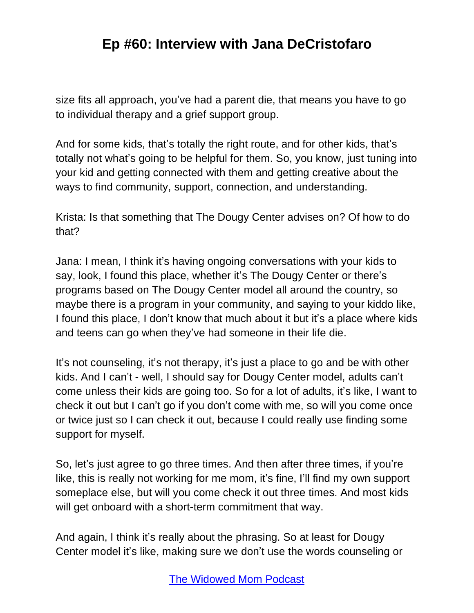size fits all approach, you've had a parent die, that means you have to go to individual therapy and a grief support group.

And for some kids, that's totally the right route, and for other kids, that's totally not what's going to be helpful for them. So, you know, just tuning into your kid and getting connected with them and getting creative about the ways to find community, support, connection, and understanding.

Krista: Is that something that The Dougy Center advises on? Of how to do that?

Jana: I mean, I think it's having ongoing conversations with your kids to say, look, I found this place, whether it's The Dougy Center or there's programs based on The Dougy Center model all around the country, so maybe there is a program in your community, and saying to your kiddo like, I found this place, I don't know that much about it but it's a place where kids and teens can go when they've had someone in their life die.

It's not counseling, it's not therapy, it's just a place to go and be with other kids. And I can't - well, I should say for Dougy Center model, adults can't come unless their kids are going too. So for a lot of adults, it's like, I want to check it out but I can't go if you don't come with me, so will you come once or twice just so I can check it out, because I could really use finding some support for myself.

So, let's just agree to go three times. And then after three times, if you're like, this is really not working for me mom, it's fine, I'll find my own support someplace else, but will you come check it out three times. And most kids will get onboard with a short-term commitment that way.

And again, I think it's really about the phrasing. So at least for Dougy Center model it's like, making sure we don't use the words counseling or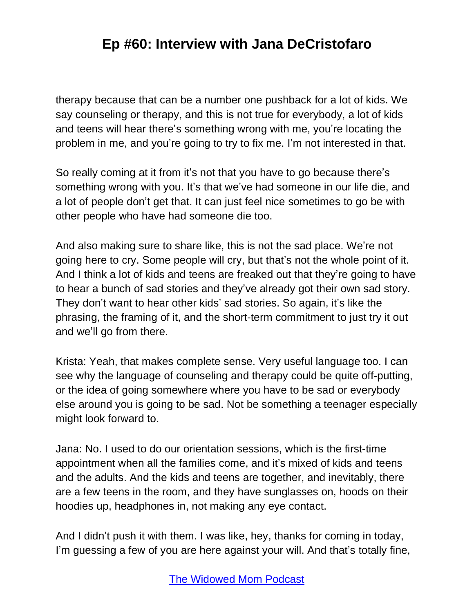therapy because that can be a number one pushback for a lot of kids. We say counseling or therapy, and this is not true for everybody, a lot of kids and teens will hear there's something wrong with me, you're locating the problem in me, and you're going to try to fix me. I'm not interested in that.

So really coming at it from it's not that you have to go because there's something wrong with you. It's that we've had someone in our life die, and a lot of people don't get that. It can just feel nice sometimes to go be with other people who have had someone die too.

And also making sure to share like, this is not the sad place. We're not going here to cry. Some people will cry, but that's not the whole point of it. And I think a lot of kids and teens are freaked out that they're going to have to hear a bunch of sad stories and they've already got their own sad story. They don't want to hear other kids' sad stories. So again, it's like the phrasing, the framing of it, and the short-term commitment to just try it out and we'll go from there.

Krista: Yeah, that makes complete sense. Very useful language too. I can see why the language of counseling and therapy could be quite off-putting, or the idea of going somewhere where you have to be sad or everybody else around you is going to be sad. Not be something a teenager especially might look forward to.

Jana: No. I used to do our orientation sessions, which is the first-time appointment when all the families come, and it's mixed of kids and teens and the adults. And the kids and teens are together, and inevitably, there are a few teens in the room, and they have sunglasses on, hoods on their hoodies up, headphones in, not making any eye contact.

And I didn't push it with them. I was like, hey, thanks for coming in today, I'm guessing a few of you are here against your will. And that's totally fine,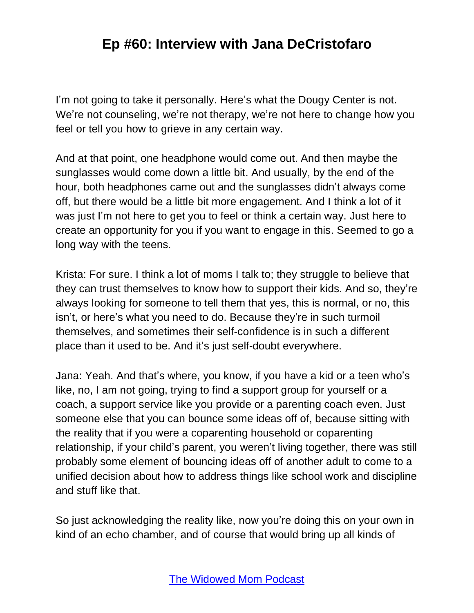I'm not going to take it personally. Here's what the Dougy Center is not. We're not counseling, we're not therapy, we're not here to change how you feel or tell you how to grieve in any certain way.

And at that point, one headphone would come out. And then maybe the sunglasses would come down a little bit. And usually, by the end of the hour, both headphones came out and the sunglasses didn't always come off, but there would be a little bit more engagement. And I think a lot of it was just I'm not here to get you to feel or think a certain way. Just here to create an opportunity for you if you want to engage in this. Seemed to go a long way with the teens.

Krista: For sure. I think a lot of moms I talk to; they struggle to believe that they can trust themselves to know how to support their kids. And so, they're always looking for someone to tell them that yes, this is normal, or no, this isn't, or here's what you need to do. Because they're in such turmoil themselves, and sometimes their self-confidence is in such a different place than it used to be. And it's just self-doubt everywhere.

Jana: Yeah. And that's where, you know, if you have a kid or a teen who's like, no, I am not going, trying to find a support group for yourself or a coach, a support service like you provide or a parenting coach even. Just someone else that you can bounce some ideas off of, because sitting with the reality that if you were a coparenting household or coparenting relationship, if your child's parent, you weren't living together, there was still probably some element of bouncing ideas off of another adult to come to a unified decision about how to address things like school work and discipline and stuff like that.

So just acknowledging the reality like, now you're doing this on your own in kind of an echo chamber, and of course that would bring up all kinds of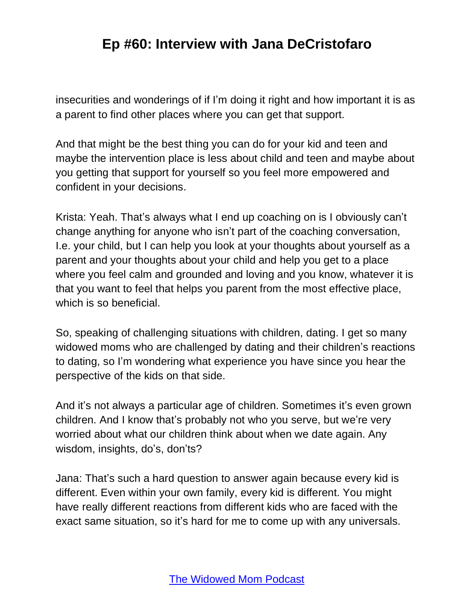insecurities and wonderings of if I'm doing it right and how important it is as a parent to find other places where you can get that support.

And that might be the best thing you can do for your kid and teen and maybe the intervention place is less about child and teen and maybe about you getting that support for yourself so you feel more empowered and confident in your decisions.

Krista: Yeah. That's always what I end up coaching on is I obviously can't change anything for anyone who isn't part of the coaching conversation, I.e. your child, but I can help you look at your thoughts about yourself as a parent and your thoughts about your child and help you get to a place where you feel calm and grounded and loving and you know, whatever it is that you want to feel that helps you parent from the most effective place, which is so beneficial.

So, speaking of challenging situations with children, dating. I get so many widowed moms who are challenged by dating and their children's reactions to dating, so I'm wondering what experience you have since you hear the perspective of the kids on that side.

And it's not always a particular age of children. Sometimes it's even grown children. And I know that's probably not who you serve, but we're very worried about what our children think about when we date again. Any wisdom, insights, do's, don'ts?

Jana: That's such a hard question to answer again because every kid is different. Even within your own family, every kid is different. You might have really different reactions from different kids who are faced with the exact same situation, so it's hard for me to come up with any universals.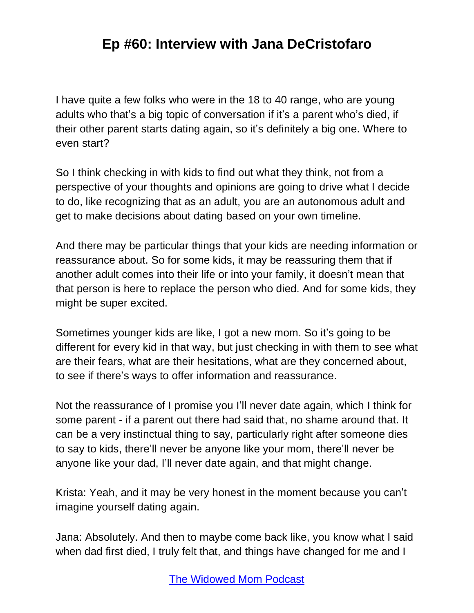I have quite a few folks who were in the 18 to 40 range, who are young adults who that's a big topic of conversation if it's a parent who's died, if their other parent starts dating again, so it's definitely a big one. Where to even start?

So I think checking in with kids to find out what they think, not from a perspective of your thoughts and opinions are going to drive what I decide to do, like recognizing that as an adult, you are an autonomous adult and get to make decisions about dating based on your own timeline.

And there may be particular things that your kids are needing information or reassurance about. So for some kids, it may be reassuring them that if another adult comes into their life or into your family, it doesn't mean that that person is here to replace the person who died. And for some kids, they might be super excited.

Sometimes younger kids are like, I got a new mom. So it's going to be different for every kid in that way, but just checking in with them to see what are their fears, what are their hesitations, what are they concerned about, to see if there's ways to offer information and reassurance.

Not the reassurance of I promise you I'll never date again, which I think for some parent - if a parent out there had said that, no shame around that. It can be a very instinctual thing to say, particularly right after someone dies to say to kids, there'll never be anyone like your mom, there'll never be anyone like your dad, I'll never date again, and that might change.

Krista: Yeah, and it may be very honest in the moment because you can't imagine yourself dating again.

Jana: Absolutely. And then to maybe come back like, you know what I said when dad first died, I truly felt that, and things have changed for me and I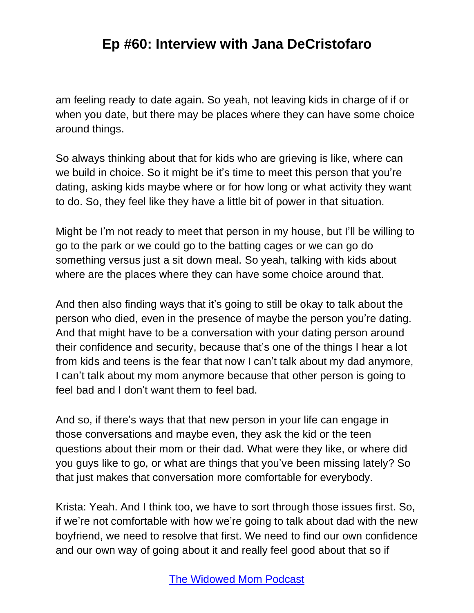am feeling ready to date again. So yeah, not leaving kids in charge of if or when you date, but there may be places where they can have some choice around things.

So always thinking about that for kids who are grieving is like, where can we build in choice. So it might be it's time to meet this person that you're dating, asking kids maybe where or for how long or what activity they want to do. So, they feel like they have a little bit of power in that situation.

Might be I'm not ready to meet that person in my house, but I'll be willing to go to the park or we could go to the batting cages or we can go do something versus just a sit down meal. So yeah, talking with kids about where are the places where they can have some choice around that.

And then also finding ways that it's going to still be okay to talk about the person who died, even in the presence of maybe the person you're dating. And that might have to be a conversation with your dating person around their confidence and security, because that's one of the things I hear a lot from kids and teens is the fear that now I can't talk about my dad anymore, I can't talk about my mom anymore because that other person is going to feel bad and I don't want them to feel bad.

And so, if there's ways that that new person in your life can engage in those conversations and maybe even, they ask the kid or the teen questions about their mom or their dad. What were they like, or where did you guys like to go, or what are things that you've been missing lately? So that just makes that conversation more comfortable for everybody.

Krista: Yeah. And I think too, we have to sort through those issues first. So, if we're not comfortable with how we're going to talk about dad with the new boyfriend, we need to resolve that first. We need to find our own confidence and our own way of going about it and really feel good about that so if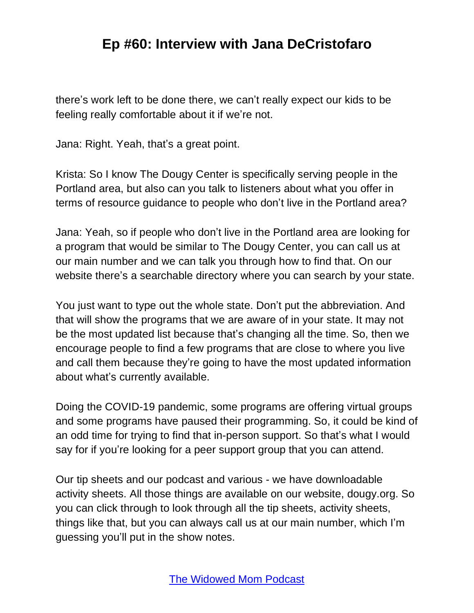there's work left to be done there, we can't really expect our kids to be feeling really comfortable about it if we're not.

Jana: Right. Yeah, that's a great point.

Krista: So I know The Dougy Center is specifically serving people in the Portland area, but also can you talk to listeners about what you offer in terms of resource guidance to people who don't live in the Portland area?

Jana: Yeah, so if people who don't live in the Portland area are looking for a program that would be similar to The Dougy Center, you can call us at our main number and we can talk you through how to find that. On our website there's a searchable directory where you can search by your state.

You just want to type out the whole state. Don't put the abbreviation. And that will show the programs that we are aware of in your state. It may not be the most updated list because that's changing all the time. So, then we encourage people to find a few programs that are close to where you live and call them because they're going to have the most updated information about what's currently available.

Doing the COVID-19 pandemic, some programs are offering virtual groups and some programs have paused their programming. So, it could be kind of an odd time for trying to find that in-person support. So that's what I would say for if you're looking for a peer support group that you can attend.

Our tip sheets and our podcast and various - we have downloadable activity sheets. All those things are available on our website, dougy.org. So you can click through to look through all the tip sheets, activity sheets, things like that, but you can always call us at our main number, which I'm guessing you'll put in the show notes.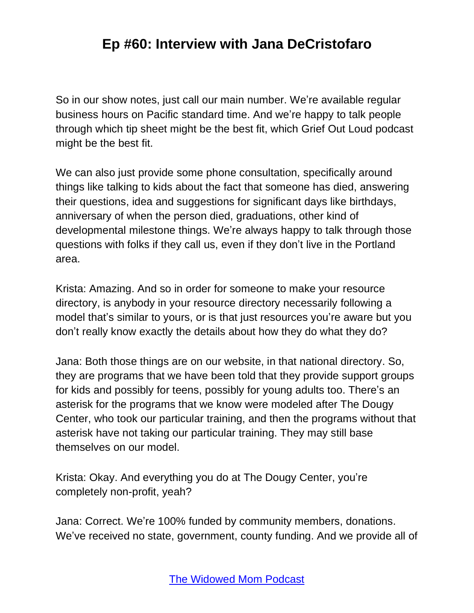So in our show notes, just call our main number. We're available regular business hours on Pacific standard time. And we're happy to talk people through which tip sheet might be the best fit, which Grief Out Loud podcast might be the best fit.

We can also just provide some phone consultation, specifically around things like talking to kids about the fact that someone has died, answering their questions, idea and suggestions for significant days like birthdays, anniversary of when the person died, graduations, other kind of developmental milestone things. We're always happy to talk through those questions with folks if they call us, even if they don't live in the Portland area.

Krista: Amazing. And so in order for someone to make your resource directory, is anybody in your resource directory necessarily following a model that's similar to yours, or is that just resources you're aware but you don't really know exactly the details about how they do what they do?

Jana: Both those things are on our website, in that national directory. So, they are programs that we have been told that they provide support groups for kids and possibly for teens, possibly for young adults too. There's an asterisk for the programs that we know were modeled after The Dougy Center, who took our particular training, and then the programs without that asterisk have not taking our particular training. They may still base themselves on our model.

Krista: Okay. And everything you do at The Dougy Center, you're completely non-profit, yeah?

Jana: Correct. We're 100% funded by community members, donations. We've received no state, government, county funding. And we provide all of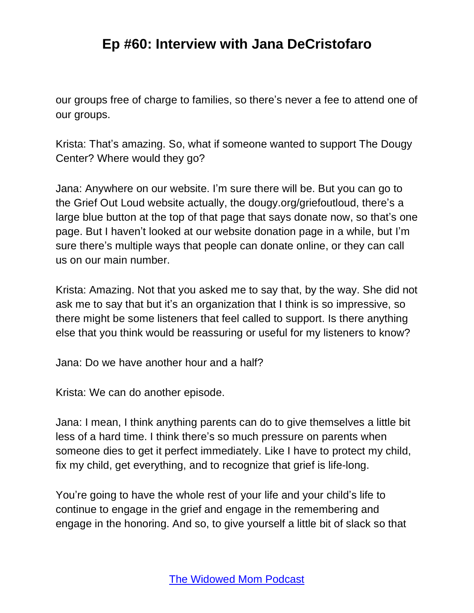our groups free of charge to families, so there's never a fee to attend one of our groups.

Krista: That's amazing. So, what if someone wanted to support The Dougy Center? Where would they go?

Jana: Anywhere on our website. I'm sure there will be. But you can go to the Grief Out Loud website actually, the dougy.org/griefoutloud, there's a large blue button at the top of that page that says donate now, so that's one page. But I haven't looked at our website donation page in a while, but I'm sure there's multiple ways that people can donate online, or they can call us on our main number.

Krista: Amazing. Not that you asked me to say that, by the way. She did not ask me to say that but it's an organization that I think is so impressive, so there might be some listeners that feel called to support. Is there anything else that you think would be reassuring or useful for my listeners to know?

Jana: Do we have another hour and a half?

Krista: We can do another episode.

Jana: I mean, I think anything parents can do to give themselves a little bit less of a hard time. I think there's so much pressure on parents when someone dies to get it perfect immediately. Like I have to protect my child, fix my child, get everything, and to recognize that grief is life-long.

You're going to have the whole rest of your life and your child's life to continue to engage in the grief and engage in the remembering and engage in the honoring. And so, to give yourself a little bit of slack so that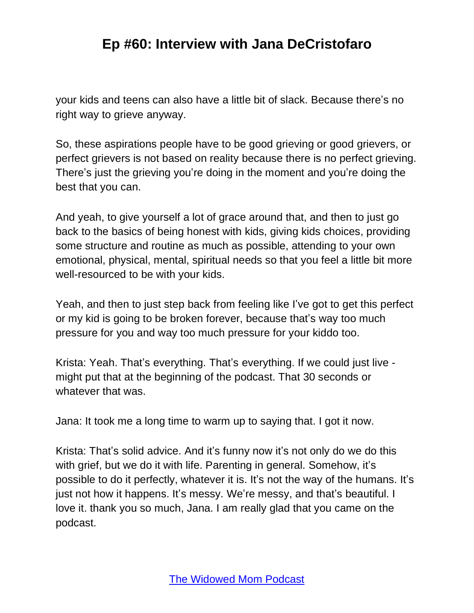your kids and teens can also have a little bit of slack. Because there's no right way to grieve anyway.

So, these aspirations people have to be good grieving or good grievers, or perfect grievers is not based on reality because there is no perfect grieving. There's just the grieving you're doing in the moment and you're doing the best that you can.

And yeah, to give yourself a lot of grace around that, and then to just go back to the basics of being honest with kids, giving kids choices, providing some structure and routine as much as possible, attending to your own emotional, physical, mental, spiritual needs so that you feel a little bit more well-resourced to be with your kids.

Yeah, and then to just step back from feeling like I've got to get this perfect or my kid is going to be broken forever, because that's way too much pressure for you and way too much pressure for your kiddo too.

Krista: Yeah. That's everything. That's everything. If we could just live might put that at the beginning of the podcast. That 30 seconds or whatever that was.

Jana: It took me a long time to warm up to saying that. I got it now.

Krista: That's solid advice. And it's funny now it's not only do we do this with grief, but we do it with life. Parenting in general. Somehow, it's possible to do it perfectly, whatever it is. It's not the way of the humans. It's just not how it happens. It's messy. We're messy, and that's beautiful. I love it. thank you so much, Jana. I am really glad that you came on the podcast.